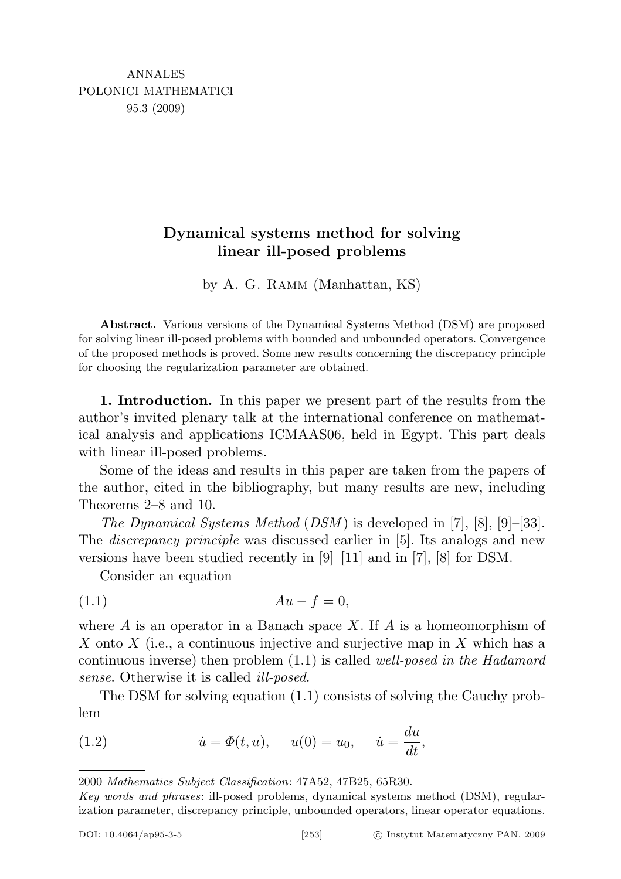# Dynamical systems method for solving linear ill-posed problems

by A. G. Ramm (Manhattan, KS)

Abstract. Various versions of the Dynamical Systems Method (DSM) are proposed for solving linear ill-posed problems with bounded and unbounded operators. Convergence of the proposed methods is proved. Some new results concerning the discrepancy principle for choosing the regularization parameter are obtained.

1. Introduction. In this paper we present part of the results from the author's invited plenary talk at the international conference on mathematical analysis and applications ICMAAS06, held in Egypt. This part deals with linear ill-posed problems.

Some of the ideas and results in this paper are taken from the papers of the author, cited in the bibliography, but many results are new, including Theorems 2–8 and 10.

The Dynamical Systems Method (DSM) is developed in [7], [8], [9]-[33]. The discrepancy principle was discussed earlier in [5]. Its analogs and new versions have been studied recently in [9]–[11] and in [7], [8] for DSM.

Consider an equation

$$
(1.1) \t\t\t Au - f = 0,
$$

where  $A$  is an operator in a Banach space X. If  $A$  is a homeomorphism of X onto X (i.e., a continuous injective and surjective map in X which has a continuous inverse) then problem  $(1.1)$  is called *well-posed in the Hadamard* sense. Otherwise it is called ill-posed.

The DSM for solving equation (1.1) consists of solving the Cauchy problem

(1.2) 
$$
\dot{u} = \Phi(t, u), \quad u(0) = u_0, \quad \dot{u} = \frac{du}{dt},
$$

<sup>2000</sup> Mathematics Subject Classification: 47A52, 47B25, 65R30.

Key words and phrases: ill-posed problems, dynamical systems method (DSM), regularization parameter, discrepancy principle, unbounded operators, linear operator equations.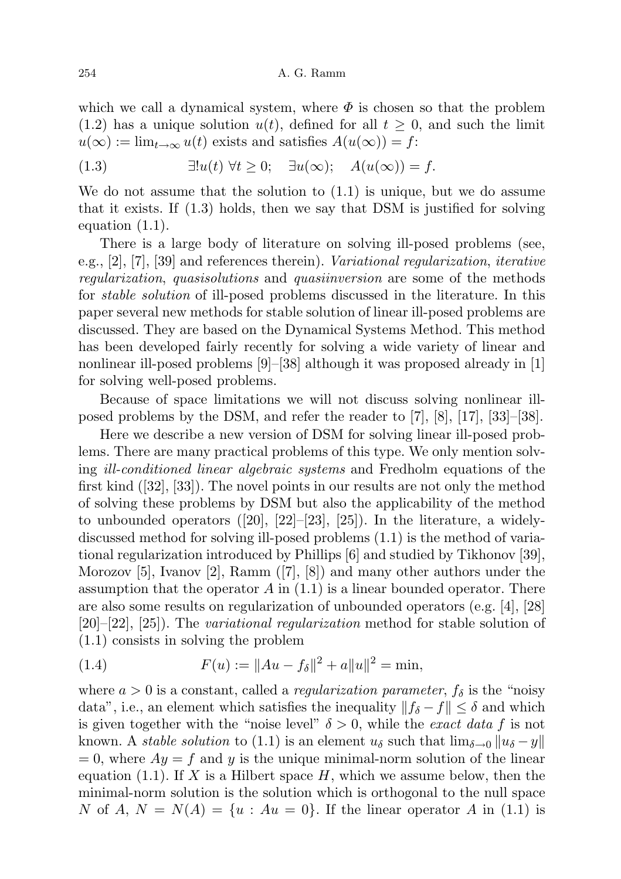which we call a dynamical system, where  $\Phi$  is chosen so that the problem  $(1.2)$  has a unique solution  $u(t)$ , defined for all  $t \geq 0$ , and such the limit  $u(\infty) := \lim_{t \to \infty} u(t)$  exists and satisfies  $A(u(\infty)) = f$ :

(1.3) 
$$
\exists! u(t) \ \forall t \geq 0; \quad \exists u(\infty); \quad A(u(\infty)) = f.
$$

We do not assume that the solution to  $(1.1)$  is unique, but we do assume that it exists. If (1.3) holds, then we say that DSM is justified for solving equation (1.1).

There is a large body of literature on solving ill-posed problems (see, e.g.,  $[2]$ ,  $[7]$ ,  $[39]$  and references therein). Variational regularization, iterative regularization, quasisolutions and quasiinversion are some of the methods for stable solution of ill-posed problems discussed in the literature. In this paper several new methods for stable solution of linear ill-posed problems are discussed. They are based on the Dynamical Systems Method. This method has been developed fairly recently for solving a wide variety of linear and nonlinear ill-posed problems  $|9|$ – $|38|$  although it was proposed already in  $|1|$ for solving well-posed problems.

Because of space limitations we will not discuss solving nonlinear illposed problems by the DSM, and refer the reader to [7], [8], [17], [33]–[38].

Here we describe a new version of DSM for solving linear ill-posed problems. There are many practical problems of this type. We only mention solving ill-conditioned linear algebraic systems and Fredholm equations of the first kind ([32], [33]). The novel points in our results are not only the method of solving these problems by DSM but also the applicability of the method to unbounded operators ([20], [22]–[23], [25]). In the literature, a widelydiscussed method for solving ill-posed problems (1.1) is the method of variational regularization introduced by Phillips [6] and studied by Tikhonov [39], Morozov [5], Ivanov [2], Ramm ([7], [8]) and many other authors under the assumption that the operator  $A$  in  $(1.1)$  is a linear bounded operator. There are also some results on regularization of unbounded operators (e.g. [4], [28] [20]–[22], [25]). The variational regularization method for stable solution of (1.1) consists in solving the problem

(1.4) 
$$
F(u) := \|Au - f_{\delta}\|^2 + a\|u\|^2 = \min,
$$

where  $a > 0$  is a constant, called a *regularization parameter*,  $f_{\delta}$  is the "noisy" data", i.e., an element which satisfies the inequality  $||f_{\delta} - f|| \leq \delta$  and which is given together with the "noise level"  $\delta > 0$ , while the *exact data f* is not known. A *stable solution* to (1.1) is an element  $u_{\delta}$  such that  $\lim_{\delta \to 0} ||u_{\delta} - y||$  $= 0$ , where  $Ay = f$  and y is the unique minimal-norm solution of the linear equation (1.1). If X is a Hilbert space  $H$ , which we assume below, then the minimal-norm solution is the solution which is orthogonal to the null space N of A,  $N = N(A) = \{u : Au = 0\}$ . If the linear operator A in (1.1) is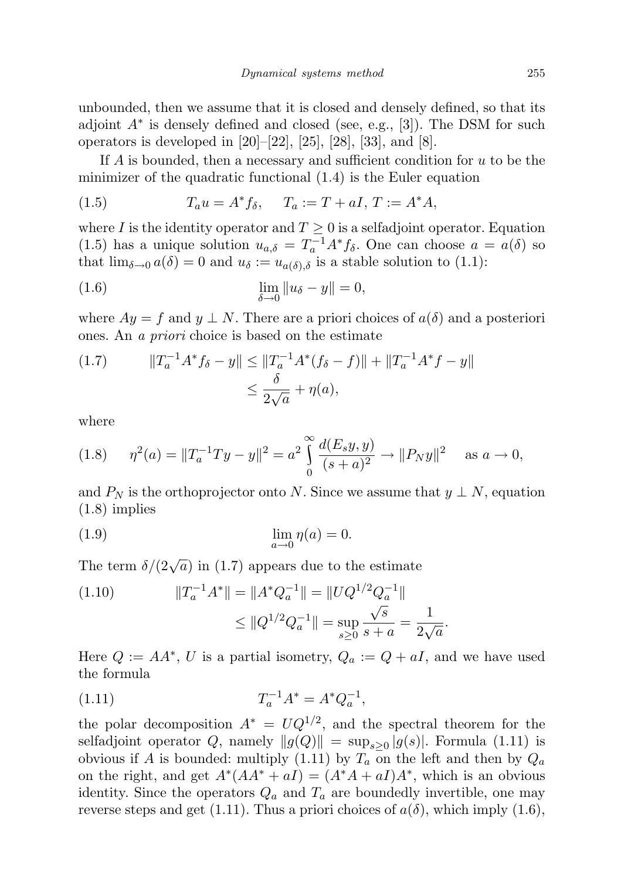unbounded, then we assume that it is closed and densely defined, so that its adjoint  $A^*$  is densely defined and closed (see, e.g., [3]). The DSM for such operators is developed in  $[20]$ – $[22]$ ,  $[25]$ ,  $[28]$ ,  $[33]$ , and  $[8]$ .

If  $A$  is bounded, then a necessary and sufficient condition for  $u$  to be the minimizer of the quadratic functional (1.4) is the Euler equation

(1.5) 
$$
T_a u = A^* f_\delta, \quad T_a := T + aI, \, T := A^* A,
$$

where I is the identity operator and  $T \geq 0$  is a selfadjoint operator. Equation (1.5) has a unique solution  $u_{a,\delta} = T_a^{-1} A^* f_{\delta}$ . One can choose  $a = a(\delta)$  so that  $\lim_{\delta \to 0} a(\delta) = 0$  and  $u_{\delta} := u_{a(\delta),\delta}$  is a stable solution to (1.1):

(1.6) 
$$
\lim_{\delta \to 0} \|u_{\delta} - y\| = 0,
$$

where  $Ay = f$  and  $y \perp N$ . There are a priori choices of  $a(\delta)$  and a posteriori ones. An a priori choice is based on the estimate

(1.7) 
$$
||T_a^{-1}A^*f_\delta - y|| \le ||T_a^{-1}A^*(f_\delta - f)|| + ||T_a^{-1}A^*f - y||
$$

$$
\le \frac{\delta}{2\sqrt{a}} + \eta(a),
$$

where

$$
(1.8) \quad \eta^2(a) = \|T_a^{-1}Ty - y\|^2 = a^2 \int_0^\infty \frac{d(E_s y, y)}{(s + a)^2} \to \|P_N y\|^2 \quad \text{as } a \to 0,
$$

and  $P_N$  is the orthoprojector onto N. Since we assume that  $y \perp N$ , equation (1.8) implies

$$
\lim_{a \to 0} \eta(a) = 0.
$$

The term  $\delta/(2\sqrt{a})$  in (1.7) appears due to the estimate

(1.10) 
$$
||T_a^{-1}A^*|| = ||A^*Q_a^{-1}|| = ||UQ^{1/2}Q_a^{-1}||
$$

$$
\leq ||Q^{1/2}Q_a^{-1}|| = \sup_{s\geq 0} \frac{\sqrt{s}}{s+a} = \frac{1}{2\sqrt{a}}.
$$

Here  $Q := AA^*$ , U is a partial isometry,  $Q_a := Q + aI$ , and we have used the formula

(1.11) 
$$
T_a^{-1}A^* = A^*Q_a^{-1},
$$

the polar decomposition  $A^* = UQ^{1/2}$ , and the spectral theorem for the selfadjoint operator Q, namely  $||g(Q)|| = \sup_{s \geq 0} |g(s)|$ . Formula (1.11) is obvious if A is bounded: multiply (1.11) by  $T_a$  on the left and then by  $Q_a$ on the right, and get  $A^*(AA^* + aI) = (A^*A + aI)A^*$ , which is an obvious identity. Since the operators  $Q_a$  and  $T_a$  are boundedly invertible, one may reverse steps and get (1.11). Thus a priori choices of  $a(\delta)$ , which imply (1.6),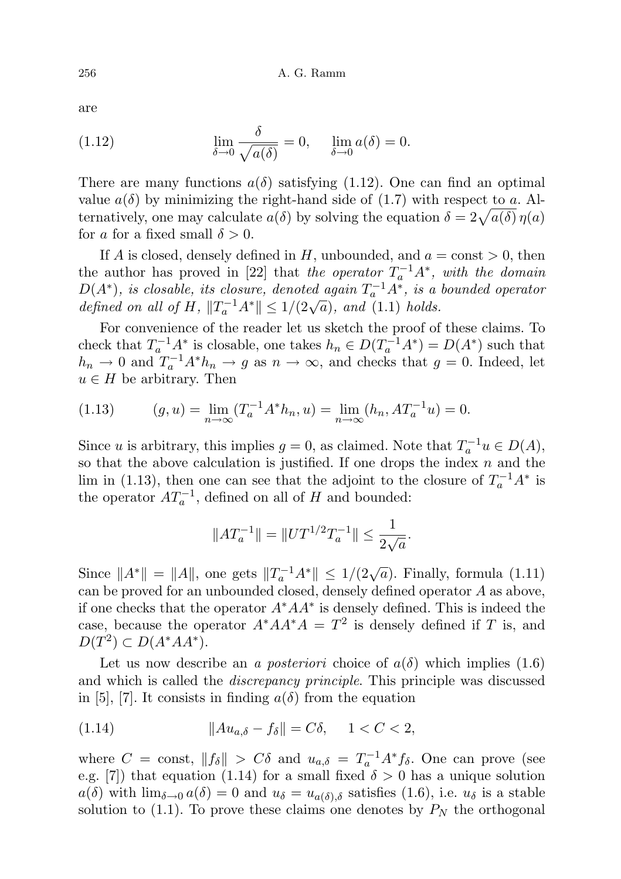are

(1.12) 
$$
\lim_{\delta \to 0} \frac{\delta}{\sqrt{a(\delta)}} = 0, \quad \lim_{\delta \to 0} a(\delta) = 0.
$$

There are many functions  $a(\delta)$  satisfying (1.12). One can find an optimal value  $a(\delta)$  by minimizing the right-hand side of (1.7) with respect to a. Alternatively, one may calculate  $a(\delta)$  by solving the equation  $\delta = 2\sqrt{a(\delta)} \eta(a)$ for a for a fixed small  $\delta > 0$ .

If A is closed, densely defined in H, unbounded, and  $a = \text{const} > 0$ , then the author has proved in [22] that the operator  $T_a^{-1}A^*$ , with the domain  $D(A^*)$ , is closable, its closure, denoted again  $T_a^{-1}A^*$ , is a bounded operator  $D(A)$ , is closuble, its closure, denoted again  $T_a$  A, is a defined on all of H,  $||T_a^{-1}A^*|| \le 1/(2\sqrt{a})$ , and (1.1) holds.

For convenience of the reader let us sketch the proof of these claims. To check that  $T_a^{-1}A^*$  is closable, one takes  $h_n \in D(T_a^{-1}A^*) = D(A^*)$  such that  $h_n \to 0$  and  $T_a^{-1}A^*h_n \to g$  as  $n \to \infty$ , and checks that  $g = 0$ . Indeed, let  $u \in H$  be arbitrary. Then

(1.13) 
$$
(g, u) = \lim_{n \to \infty} (T_a^{-1} A^* h_n, u) = \lim_{n \to \infty} (h_n, A T_a^{-1} u) = 0.
$$

Since u is arbitrary, this implies  $g = 0$ , as claimed. Note that  $T_a^{-1}u \in D(A)$ , so that the above calculation is justified. If one drops the index  $n$  and the lim in (1.13), then one can see that the adjoint to the closure of  $T_a^{-1}A^*$  is the operator  $AT_a^{-1}$ , defined on all of H and bounded:

$$
\|AT_a^{-1}\| = \|UT^{1/2}T_a^{-1}\| \leq \frac{1}{2\sqrt{a}}.
$$

Since  $||A^*|| = ||A||$ , one gets  $||T_a^{-1}A^*|| \le 1/(2\sqrt{a})$ . Finally, formula (1.11) can be proved for an unbounded closed, densely defined operator A as above, if one checks that the operator  $A^*AA^*$  is densely defined. This is indeed the case, because the operator  $A^*AA^*A = T^2$  is densely defined if T is, and  $D(T^2) \subset D(A^*AA^*)$ .

Let us now describe an a posteriori choice of  $a(\delta)$  which implies (1.6) and which is called the *discrepancy principle*. This principle was discussed in [5], [7]. It consists in finding  $a(\delta)$  from the equation

(1.14) 
$$
||Au_{a,\delta} - f_{\delta}|| = C\delta, \quad 1 < C < 2,
$$

where  $C = \text{const}, ||f_{\delta}|| > C\delta$  and  $u_{a,\delta} = T_a^{-1}A^*f_{\delta}$ . One can prove (see e.g. [7]) that equation (1.14) for a small fixed  $\delta > 0$  has a unique solution  $a(\delta)$  with  $\lim_{\delta \to 0} a(\delta) = 0$  and  $u_{\delta} = u_{a(\delta),\delta}$  satisfies (1.6), i.e.  $u_{\delta}$  is a stable solution to  $(1.1)$ . To prove these claims one denotes by  $P_N$  the orthogonal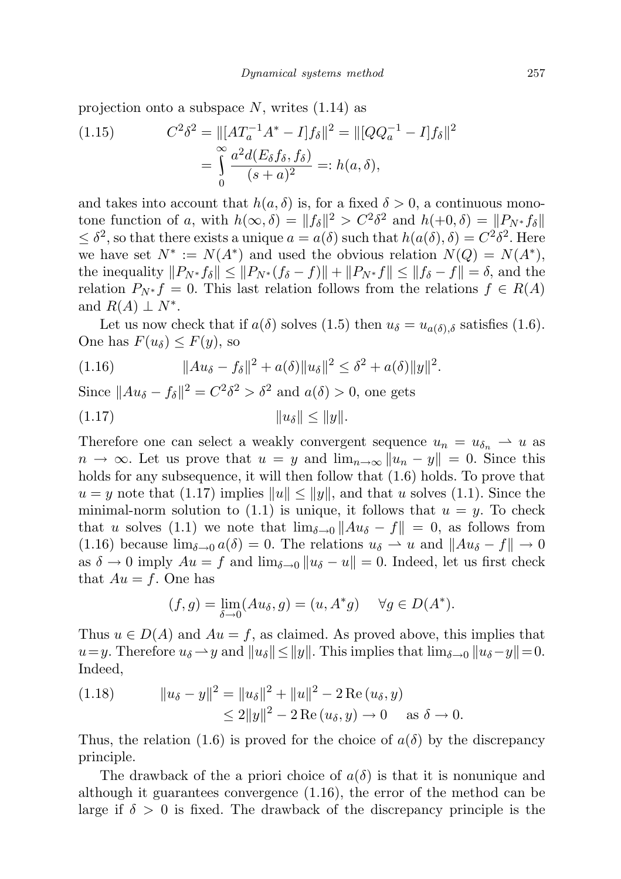projection onto a subspace N, writes  $(1.14)$  as

(1.15) 
$$
C^2 \delta^2 = ||[AT_a^{-1}A^* - I]f_\delta||^2 = ||[QQ_a^{-1} - I]f_\delta||^2
$$

$$
= \int_0^\infty \frac{a^2 d(E_\delta f_\delta, f_\delta)}{(s+a)^2} =: h(a, \delta),
$$

and takes into account that  $h(a, \delta)$  is, for a fixed  $\delta > 0$ , a continuous monotone function of a, with  $h(\infty, \delta) = ||f_{\delta}||^2 > C^2 \delta^2$  and  $h(+0, \delta) = ||P_{N^*} f_{\delta}||$  $\leq \delta^2$ , so that there exists a unique  $a = a(\delta)$  such that  $h(a(\delta), \delta) = C^2 \delta^2$ . Here we have set  $N^* := N(A^*)$  and used the obvious relation  $N(Q) = N(A^*)$ , the inequality  $||P_{N^*} f_\delta|| \leq ||P_{N^*} (f_\delta - f)|| + ||P_{N^*} f|| \leq ||f_\delta - f|| = \delta$ , and the relation  $P_{N^*} f = 0$ . This last relation follows from the relations  $f \in R(A)$ and  $R(A) \perp N^*$ .

Let us now check that if  $a(\delta)$  solves (1.5) then  $u_{\delta} = u_{a(\delta),\delta}$  satisfies (1.6). One has  $F(u_\delta) \leq F(y)$ , so

(1.16) 
$$
||Au_{\delta} - f_{\delta}||^{2} + a(\delta)||u_{\delta}||^{2} \leq \delta^{2} + a(\delta)||y||^{2}.
$$

Since  $||Au_{\delta} - f_{\delta}||^2 = C^2 \delta^2 > \delta^2$  and  $a(\delta) > 0$ , one gets

(1.17) kuδk ≤ kyk.

Therefore one can select a weakly convergent sequence  $u_n = u_{\delta_n} \to u$  as  $n \to \infty$ . Let us prove that  $u = y$  and  $\lim_{n \to \infty} ||u_n - y|| = 0$ . Since this holds for any subsequence, it will then follow that (1.6) holds. To prove that  $u = y$  note that (1.17) implies  $||u|| \le ||y||$ , and that u solves (1.1). Since the minimal-norm solution to  $(1.1)$  is unique, it follows that  $u = y$ . To check that u solves (1.1) we note that  $\lim_{\delta \to 0} ||Au_{\delta} - f|| = 0$ , as follows from (1.16) because  $\lim_{\delta \to 0} a(\delta) = 0$ . The relations  $u_{\delta} \to u$  and  $||Au_{\delta} - f|| \to 0$ as  $\delta \to 0$  imply  $Au = f$  and  $\lim_{\delta \to 0} ||u_{\delta} - u|| = 0$ . Indeed, let us first check that  $Au = f$ . One has

$$
(f,g) = \lim_{\delta \to 0} (Au_{\delta}, g) = (u, A^*g) \quad \forall g \in D(A^*).
$$

Thus  $u \in D(A)$  and  $Au = f$ , as claimed. As proved above, this implies that  $u=y$ . Therefore  $u_{\delta}$  → y and  $||u_{\delta}|| \leq ||y||$ . This implies that  $\lim_{\delta \to 0} ||u_{\delta} - y|| = 0$ . Indeed,

(1.18) 
$$
||u_{\delta} - y||^{2} = ||u_{\delta}||^{2} + ||u||^{2} - 2 \operatorname{Re}(u_{\delta}, y)
$$

$$
\leq 2||y||^{2} - 2 \operatorname{Re}(u_{\delta}, y) \to 0 \quad \text{as } \delta \to 0.
$$

Thus, the relation (1.6) is proved for the choice of  $a(\delta)$  by the discrepancy principle.

The drawback of the a priori choice of  $a(\delta)$  is that it is nonunique and although it guarantees convergence (1.16), the error of the method can be large if  $\delta > 0$  is fixed. The drawback of the discrepancy principle is the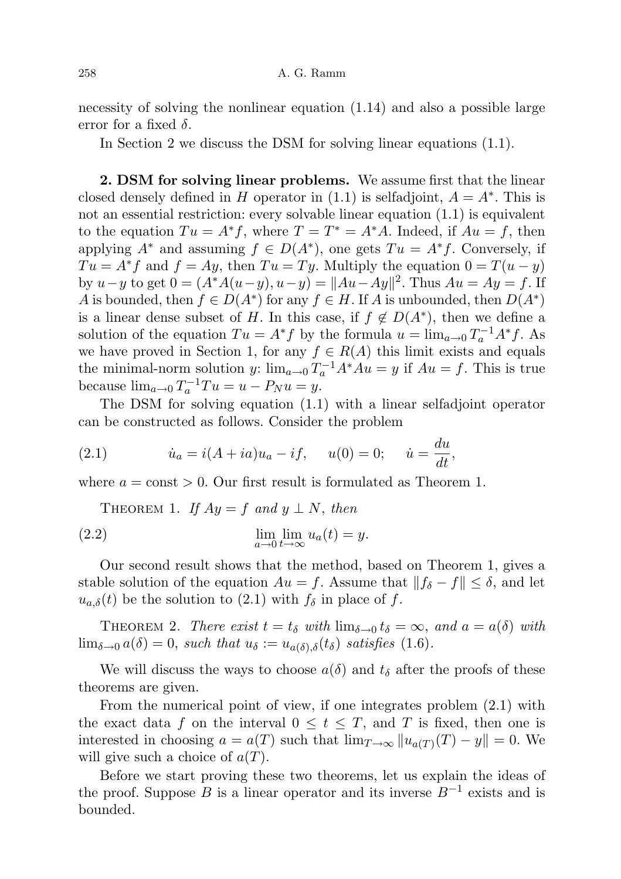necessity of solving the nonlinear equation (1.14) and also a possible large error for a fixed  $\delta$ .

In Section 2 we discuss the DSM for solving linear equations (1.1).

2. DSM for solving linear problems. We assume first that the linear closed densely defined in H operator in  $(1.1)$  is selfadjoint,  $A = A^*$ . This is not an essential restriction: every solvable linear equation (1.1) is equivalent to the equation  $Tu = A^*f$ , where  $T = T^* = A^*A$ . Indeed, if  $Au = f$ , then applying  $A^*$  and assuming  $f \in D(A^*)$ , one gets  $Tu = A^*f$ . Conversely, if  $Tu = A^*f$  and  $f = Ay$ , then  $Tu = Ty$ . Multiply the equation  $0 = T(u - y)$ by  $u - y$  to get  $0 = (A^*A(u - y), u - y) = ||Au - Ay||^2$ . Thus  $Au = Ay = f$ . If A is bounded, then  $f \in D(A^*)$  for any  $f \in H$ . If A is unbounded, then  $D(A^*)$ is a linear dense subset of H. In this case, if  $f \notin D(A^*)$ , then we define a solution of the equation  $Tu = A^*f$  by the formula  $u = \lim_{a \to 0} T_a^{-1}A^*f$ . As we have proved in Section 1, for any  $f \in R(A)$  this limit exists and equals the minimal-norm solution y:  $\lim_{a\to 0} T_a^{-1} A^* A u = y$  if  $Au = f$ . This is true because  $\lim_{a\to 0} T_a^{-1}Tu = u - P_Nu = y.$ 

The DSM for solving equation (1.1) with a linear selfadjoint operator can be constructed as follows. Consider the problem

(2.1) 
$$
\dot{u}_a = i(A + ia)u_a - if, \quad u(0) = 0; \quad \dot{u} = \frac{du}{dt},
$$

where  $a = \text{const} > 0$ . Our first result is formulated as Theorem 1.

THEOREM 1. If 
$$
Ay = f
$$
 and  $y \perp N$ , then  
\n(2.2) 
$$
\lim_{a \to 0} \lim_{t \to \infty} u_a(t) = y.
$$

Our second result shows that the method, based on Theorem 1, gives a stable solution of the equation  $Au = f$ . Assume that  $||f_{\delta} - f|| \leq \delta$ , and let  $u_{a,\delta}(t)$  be the solution to (2.1) with  $f_{\delta}$  in place of f.

THEOREM 2. There exist  $t = t_{\delta}$  with  $\lim_{\delta \to 0} t_{\delta} = \infty$ , and  $a = a(\delta)$  with  $\lim_{\delta \to 0} a(\delta) = 0$ , such that  $u_{\delta} := u_{a(\delta),\delta}(t_{\delta})$  satisfies (1.6).

We will discuss the ways to choose  $a(\delta)$  and  $t_{\delta}$  after the proofs of these theorems are given.

From the numerical point of view, if one integrates problem (2.1) with the exact data f on the interval  $0 \leq t \leq T$ , and T is fixed, then one is interested in choosing  $a = a(T)$  such that  $\lim_{T \to \infty} ||u_{a(T)}(T) - y|| = 0$ . We will give such a choice of  $a(T)$ .

Before we start proving these two theorems, let us explain the ideas of the proof. Suppose B is a linear operator and its inverse  $B^{-1}$  exists and is bounded.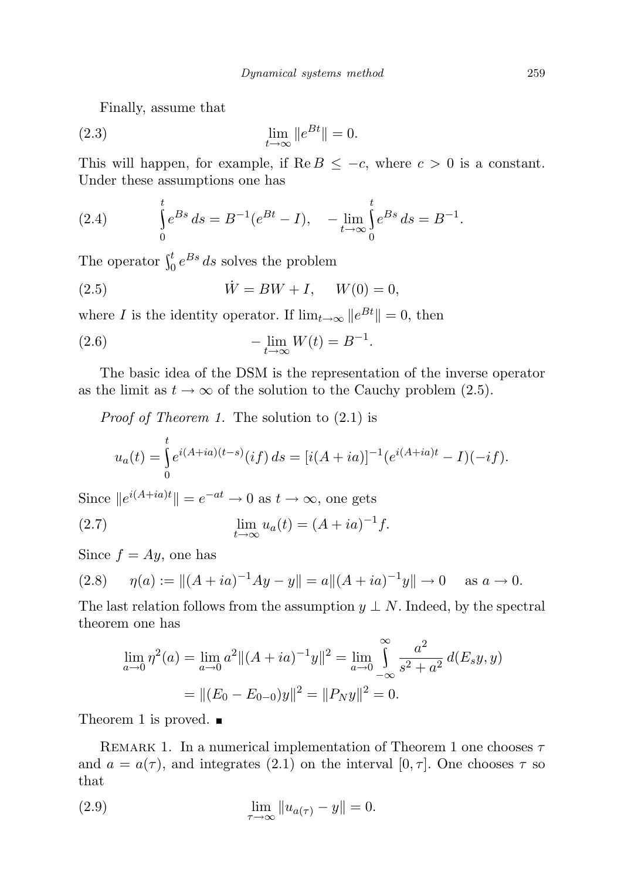Finally, assume that

$$
\lim_{t \to \infty} \|e^{Bt}\| = 0.
$$

This will happen, for example, if  $\text{Re } B \leq -c$ , where  $c > 0$  is a constant. Under these assumptions one has

(2.4) 
$$
\int_{0}^{t} e^{Bs} ds = B^{-1} (e^{Bt} - I), - \lim_{t \to \infty} \int_{0}^{t} e^{Bs} ds = B^{-1}.
$$

The operator  $\int_0^t e^{Bs} ds$  solves the problem

(2.5) 
$$
\dot{W} = BW + I, \quad W(0) = 0,
$$

where I is the identity operator. If  $\lim_{t\to\infty} ||e^{Bt}|| = 0$ , then

(2.6) 
$$
-\lim_{t \to \infty} W(t) = B^{-1}.
$$

The basic idea of the DSM is the representation of the inverse operator as the limit as  $t \to \infty$  of the solution to the Cauchy problem (2.5).

*Proof of Theorem 1.* The solution to  $(2.1)$  is

$$
u_a(t) = \int_0^t e^{i(A+ia)(t-s)} (if) ds = [i(A+ia)]^{-1} (e^{i(A+ia)t} - I)(-if).
$$

Since  $||e^{i(A+ia)t}|| = e^{-at} \to 0$  as  $t \to \infty$ , one gets

(2.7) 
$$
\lim_{t \to \infty} u_a(t) = (A + ia)^{-1} f.
$$

Since  $f = Ay$ , one has

(2.8) 
$$
\eta(a) := ||(A + ia)^{-1}Ay - y|| = a||(A + ia)^{-1}y|| \to 0 \quad \text{as } a \to 0.
$$

The last relation follows from the assumption  $y \perp N$ . Indeed, by the spectral theorem one has

$$
\lim_{a \to 0} \eta^2(a) = \lim_{a \to 0} a^2 ||(A + ia)^{-1}y||^2 = \lim_{a \to 0} \int_{-\infty}^{\infty} \frac{a^2}{s^2 + a^2} d(E_s y, y)
$$

$$
= ||(E_0 - E_{0-0})y||^2 = ||P_N y||^2 = 0.
$$

Theorem 1 is proved.  $\blacksquare$ 

REMARK 1. In a numerical implementation of Theorem 1 one chooses  $\tau$ and  $a = a(\tau)$ , and integrates (2.1) on the interval [0,  $\tau$ ]. One chooses  $\tau$  so that

(2.9) 
$$
\lim_{\tau \to \infty} \|u_{a(\tau)} - y\| = 0.
$$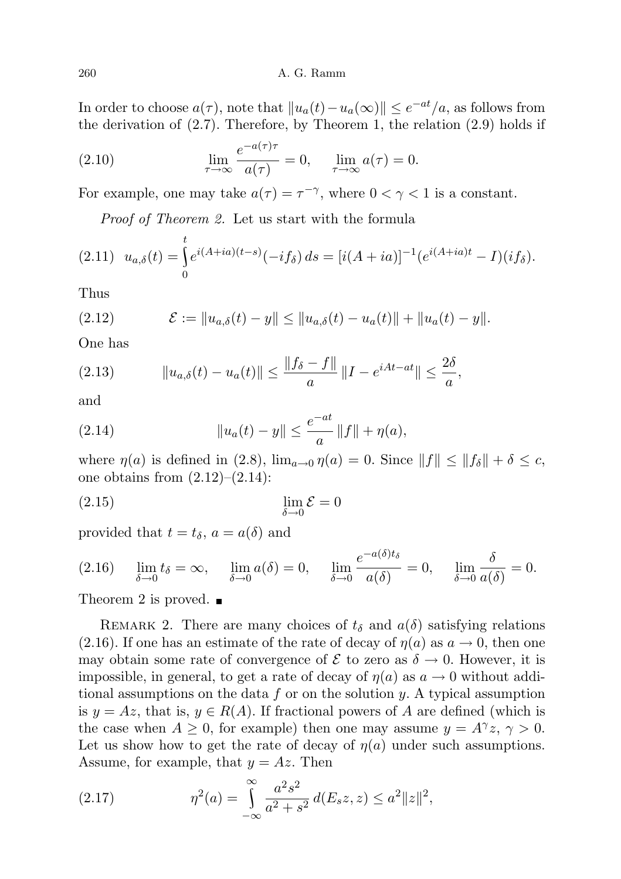In order to choose  $a(\tau)$ , note that  $||u_a(t) - u_a(\infty)|| \leq e^{-at}/a$ , as follows from the derivation of  $(2.7)$ . Therefore, by Theorem 1, the relation  $(2.9)$  holds if

(2.10) 
$$
\lim_{\tau \to \infty} \frac{e^{-a(\tau)\tau}}{a(\tau)} = 0, \quad \lim_{\tau \to \infty} a(\tau) = 0.
$$

For example, one may take  $a(\tau) = \tau^{-\gamma}$ , where  $0 < \gamma < 1$  is a constant.

Proof of Theorem 2. Let us start with the formula

$$
(2.11) \ \ u_{a,\delta}(t) = \int_0^t e^{i(A+ia)(t-s)} (-if_\delta) \, ds = [i(A+ia)]^{-1} (e^{i(A+ia)t} - I)(if_\delta).
$$

Thus

(2.12) 
$$
\mathcal{E} := \|u_{a,\delta}(t) - y\| \le \|u_{a,\delta}(t) - u_a(t)\| + \|u_a(t) - y\|.
$$

One has

(2.13) 
$$
\|u_{a,\delta}(t) - u_a(t)\| \le \frac{\|f_{\delta} - f\|}{a} \|I - e^{iAt - at}\| \le \frac{2\delta}{a},
$$

and

(2.14) 
$$
||u_a(t) - y|| \leq \frac{e^{-at}}{a} ||f|| + \eta(a),
$$

where  $\eta(a)$  is defined in (2.8),  $\lim_{a\to 0} \eta(a) = 0$ . Since  $||f|| \le ||f_{\delta}|| + \delta \le c$ , one obtains from  $(2.12)$ – $(2.14)$ :

$$
\lim_{\delta \to 0} \mathcal{E} = 0
$$

provided that  $t = t_{\delta}$ ,  $a = a(\delta)$  and

(2.16) 
$$
\lim_{\delta \to 0} t_{\delta} = \infty, \quad \lim_{\delta \to 0} a(\delta) = 0, \quad \lim_{\delta \to 0} \frac{e^{-a(\delta)t_{\delta}}}{a(\delta)} = 0, \quad \lim_{\delta \to 0} \frac{\delta}{a(\delta)} = 0.
$$

Theorem 2 is proved.  $\blacksquare$ 

REMARK 2. There are many choices of  $t_{\delta}$  and  $a(\delta)$  satisfying relations (2.16). If one has an estimate of the rate of decay of  $\eta(a)$  as  $a \to 0$ , then one may obtain some rate of convergence of  $\mathcal E$  to zero as  $\delta \to 0$ . However, it is impossible, in general, to get a rate of decay of  $\eta(a)$  as  $a \to 0$  without additional assumptions on the data  $f$  or on the solution  $y$ . A typical assumption is  $y = Az$ , that is,  $y \in R(A)$ . If fractional powers of A are defined (which is the case when  $A \geq 0$ , for example) then one may assume  $y = A^{\gamma}z$ ,  $\gamma > 0$ . Let us show how to get the rate of decay of  $\eta(a)$  under such assumptions. Assume, for example, that  $y = Az$ . Then

(2.17) 
$$
\eta^{2}(a) = \int_{-\infty}^{\infty} \frac{a^{2} s^{2}}{a^{2} + s^{2}} d(E_{s} z, z) \leq a^{2} ||z||^{2},
$$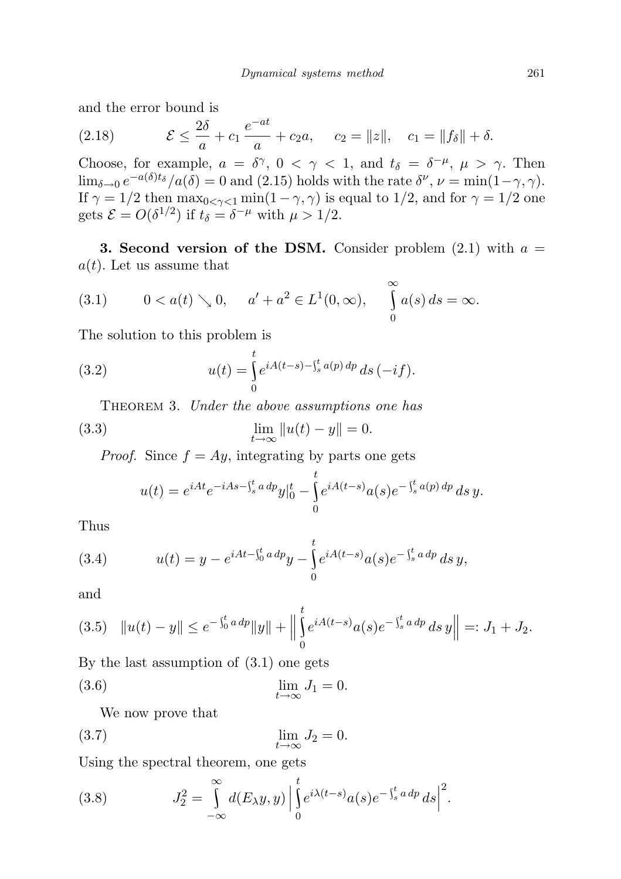and the error bound is

(2.18) 
$$
\mathcal{E} \le \frac{2\delta}{a} + c_1 \frac{e^{-at}}{a} + c_2 a, \quad c_2 = ||z||, \quad c_1 = ||f_\delta|| + \delta.
$$

Choose, for example,  $a = \delta^{\gamma}$ ,  $0 < \gamma < 1$ , and  $t_{\delta} = \delta^{-\mu}$ ,  $\mu > \gamma$ . Then  $\lim_{\delta \to 0} e^{-a(\delta)t_{\delta}}/a(\delta) = 0$  and (2.15) holds with the rate  $\delta^{\nu}, \nu = \min(1-\gamma, \gamma)$ . If  $\gamma = 1/2$  then  $\max_{0 \le \gamma \le 1} \min(1 - \gamma, \gamma)$  is equal to 1/2, and for  $\gamma = 1/2$  one gets  $\mathcal{E} = O(\delta^{1/2})$  if  $t_{\delta} = \delta^{-\mu}$  with  $\mu > 1/2$ .

**3. Second version of the DSM.** Consider problem  $(2.1)$  with  $a =$  $a(t)$ . Let us assume that

(3.1) 
$$
0 < a(t) \searrow 0
$$
,  $a' + a^2 \in L^1(0, \infty)$ ,  $\int_0^\infty a(s) ds = \infty$ .

The solution to this problem is

(3.2) 
$$
u(t) = \int_{0}^{t} e^{iA(t-s) - \int_{s}^{t} a(p) dp} ds (-if).
$$

THEOREM 3. Under the above assumptions one has

(3.3) 
$$
\lim_{t \to \infty} ||u(t) - y|| = 0.
$$

*Proof.* Since  $f = Ay$ , integrating by parts one gets

$$
u(t) = e^{iAt} e^{-iAs - \int_s^t a \, dp} y \vert_0^t - \int_0^t e^{iA(t-s)} a(s) e^{-\int_s^t a(p) \, dp} \, ds \, y.
$$

Thus

(3.4) 
$$
u(t) = y - e^{iAt - \int_0^t a \, dp} y - \int_0^t e^{iA(t-s)} a(s) e^{-\int_s^t a \, dp} \, ds \, y,
$$

and

$$
(3.5) \quad \|u(t) - y\| \le e^{-\int_0^t a \, dp} \|y\| + \Big\| \int_0^t e^{iA(t-s)} a(s) e^{-\int_s^t a \, dp} \, ds \, y \Big\| =: J_1 + J_2.
$$

By the last assumption of (3.1) one gets

$$
\lim_{t \to \infty} J_1 = 0.
$$

We now prove that

$$
\lim_{t \to \infty} J_2 = 0.
$$

Using the spectral theorem, one gets

(3.8) 
$$
J_2^2 = \int_{-\infty}^{\infty} d(E_{\lambda}y, y) \left| \int_{0}^{t} e^{i\lambda(t-s)} a(s) e^{-\int_{s}^{t} a \, dp} \, ds \right|^2.
$$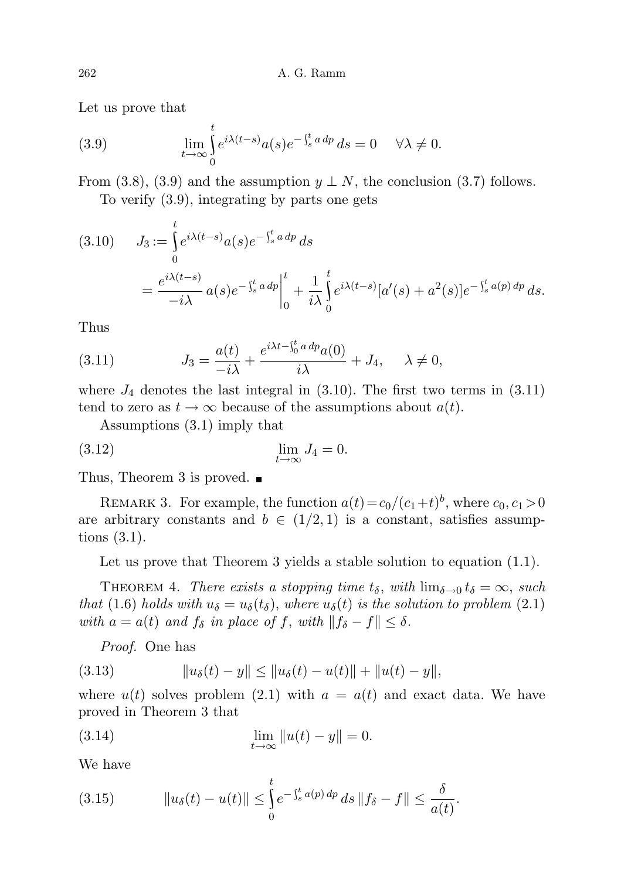Let us prove that

(3.9) 
$$
\lim_{t \to \infty} \int_{0}^{t} e^{i\lambda(t-s)} a(s) e^{-\int_{s}^{t} a \, dp} \, ds = 0 \quad \forall \lambda \neq 0.
$$

From (3.8), (3.9) and the assumption  $y \perp N$ , the conclusion (3.7) follows. To verify (3.9), integrating by parts one gets

$$
(3.10) \tJ_3 := \int_0^t e^{i\lambda(t-s)} a(s) e^{-\int_s^t a \, dp} \, ds
$$
  
=  $\frac{e^{i\lambda(t-s)}}{-i\lambda} a(s) e^{-\int_s^t a \, dp} \Big|_0^t + \frac{1}{i\lambda} \int_0^t e^{i\lambda(t-s)} [a'(s) + a^2(s)] e^{-\int_s^t a(p) \, dp} \, ds.$ 

Thus

(3.11) 
$$
J_3 = \frac{a(t)}{-i\lambda} + \frac{e^{i\lambda t - \int_0^t a \, dp} a(0)}{i\lambda} + J_4, \quad \lambda \neq 0,
$$

where  $J_4$  denotes the last integral in  $(3.10)$ . The first two terms in  $(3.11)$ tend to zero as  $t \to \infty$  because of the assumptions about  $a(t)$ .

Assumptions (3.1) imply that

$$
\lim_{t \to \infty} J_4 = 0.
$$

Thus, Theorem 3 is proved.  $\blacksquare$ 

REMARK 3. For example, the function  $a(t) = c_0/(c_1+t)^b$ , where  $c_0, c_1 > 0$ are arbitrary constants and  $b \in (1/2, 1)$  is a constant, satisfies assumptions (3.1).

Let us prove that Theorem 3 yields a stable solution to equation  $(1.1)$ .

THEOREM 4. There exists a stopping time  $t_{\delta}$ , with  $\lim_{\delta \to 0} t_{\delta} = \infty$ , such that (1.6) holds with  $u_{\delta} = u_{\delta}(t_{\delta})$ , where  $u_{\delta}(t)$  is the solution to problem (2.1) with  $a = a(t)$  and  $f_{\delta}$  in place of f, with  $||f_{\delta} - f|| \leq \delta$ .

Proof. One has

(3.13) 
$$
||u_{\delta}(t) - y|| \le ||u_{\delta}(t) - u(t)|| + ||u(t) - y||,
$$

where  $u(t)$  solves problem (2.1) with  $a = a(t)$  and exact data. We have proved in Theorem 3 that

(3.14) 
$$
\lim_{t \to \infty} ||u(t) - y|| = 0.
$$

We have

(3.15) 
$$
\|u_{\delta}(t) - u(t)\| \leq \int_{0}^{t} e^{-\int_{s}^{t} a(p) dp} ds \|f_{\delta} - f\| \leq \frac{\delta}{a(t)}.
$$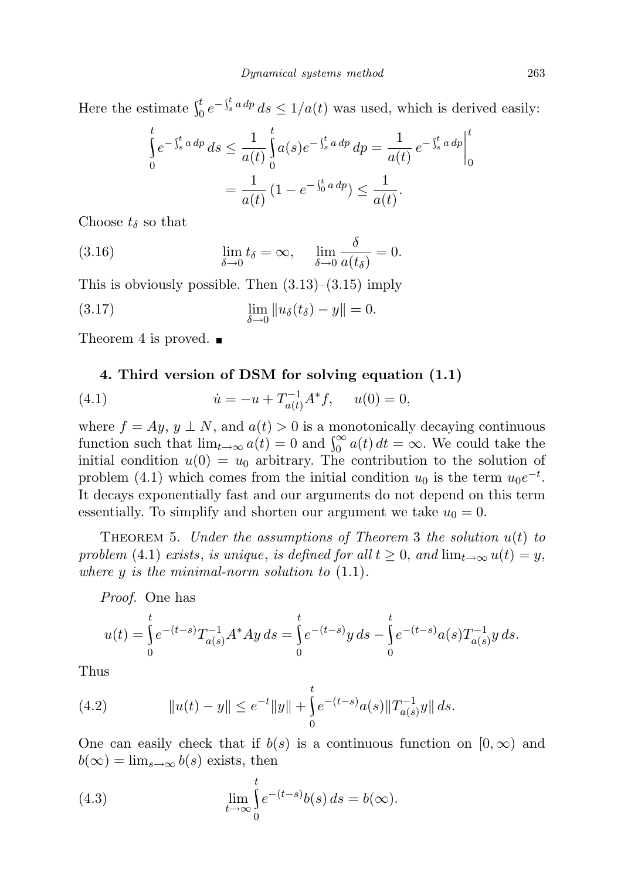Here the estimate  $\int_0^t e^{-\int_s^t a \, dp} \, ds \leq 1/a(t)$  was used, which is derived easily:

$$
\int_{0}^{t} e^{-\int_{s}^{t} a dp} ds \le \frac{1}{a(t)} \int_{0}^{t} a(s) e^{-\int_{s}^{t} a dp} dp = \frac{1}{a(t)} e^{-\int_{s}^{t} a dp} \Big|_{0}^{t}
$$
\n
$$
= \frac{1}{a(t)} (1 - e^{-\int_{0}^{t} a dp}) \le \frac{1}{a(t)}.
$$

Choose  $t_{\delta}$  so that

(3.16) 
$$
\lim_{\delta \to 0} t_{\delta} = \infty, \quad \lim_{\delta \to 0} \frac{\delta}{a(t_{\delta})} = 0.
$$

This is obviously possible. Then  $(3.13)$ – $(3.15)$  imply

(3.17) 
$$
\lim_{\delta \to 0} \|u_{\delta}(t_{\delta}) - y\| = 0.
$$

Theorem 4 is proved.  $\blacksquare$ 

## 4. Third version of DSM for solving equation (1.1)

(4.1) 
$$
\dot{u} = -u + T_{a(t)}^{-1} A^* f, \quad u(0) = 0,
$$

where  $f = Ay$ ,  $y \perp N$ , and  $a(t) > 0$  is a monotonically decaying continuous function such that  $\lim_{t\to\infty} a(t) = 0$  and  $\int_0^\infty a(t) dt = \infty$ . We could take the initial condition  $u(0) = u_0$  arbitrary. The contribution to the solution of problem (4.1) which comes from the initial condition  $u_0$  is the term  $u_0e^{-t}$ . It decays exponentially fast and our arguments do not depend on this term essentially. To simplify and shorten our argument we take  $u_0 = 0$ .

THEOREM 5. Under the assumptions of Theorem 3 the solution  $u(t)$  to problem (4.1) exists, is unique, is defined for all  $t \geq 0$ , and  $\lim_{t \to \infty} u(t) = y$ , where  $y$  is the minimal-norm solution to  $(1.1)$ .

Proof. One has

$$
u(t) = \int_{0}^{t} e^{-(t-s)} T_{a(s)}^{-1} A^* A y \, ds = \int_{0}^{t} e^{-(t-s)} y \, ds - \int_{0}^{t} e^{-(t-s)} a(s) T_{a(s)}^{-1} y \, ds.
$$

Thus

(4.2) 
$$
||u(t) - y|| \le e^{-t} ||y|| + \int_0^t e^{-(t-s)} a(s) ||T_{a(s)}^{-1}y|| ds.
$$

One can easily check that if  $b(s)$  is a continuous function on  $[0,\infty)$  and  $b(\infty) = \lim_{s \to \infty} b(s)$  exists, then

(4.3) 
$$
\lim_{t \to \infty} \int_{0}^{t} e^{-(t-s)} b(s) ds = b(\infty).
$$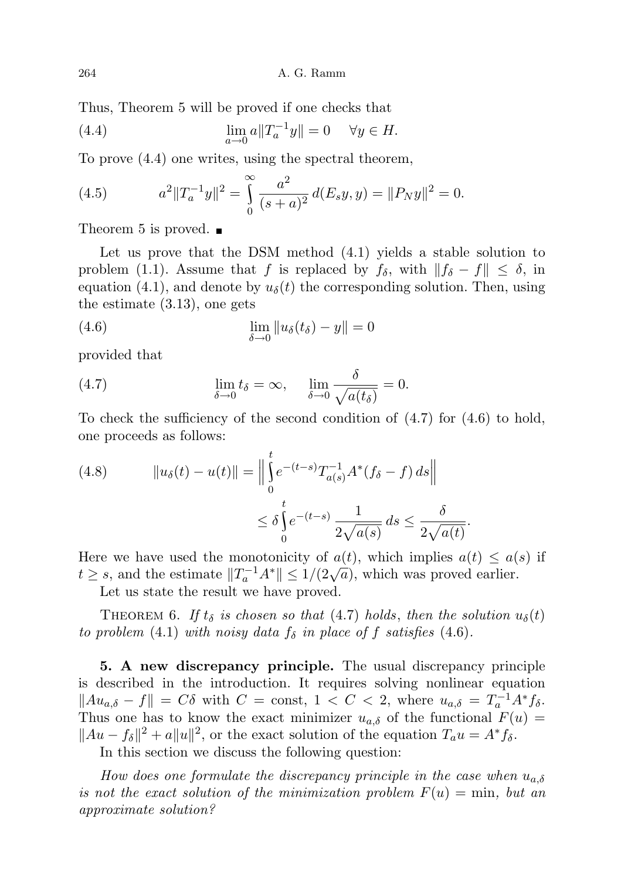Thus, Theorem 5 will be proved if one checks that

(4.4) 
$$
\lim_{a \to 0} a \|T_a^{-1}y\| = 0 \quad \forall y \in H.
$$

To prove (4.4) one writes, using the spectral theorem,

(4.5) 
$$
a^2 \|T_a^{-1}y\|^2 = \int_0^\infty \frac{a^2}{(s+a)^2} d(E_s y, y) = \|P_N y\|^2 = 0.
$$

Theorem 5 is proved.  $\blacksquare$ 

Let us prove that the DSM method (4.1) yields a stable solution to problem (1.1). Assume that f is replaced by  $f_\delta$ , with  $||f_\delta - f|| \leq \delta$ , in equation (4.1), and denote by  $u_{\delta}(t)$  the corresponding solution. Then, using the estimate (3.13), one gets

(4.6) 
$$
\lim_{\delta \to 0} ||u_{\delta}(t_{\delta}) - y|| = 0
$$

provided that

(4.7) 
$$
\lim_{\delta \to 0} t_{\delta} = \infty, \quad \lim_{\delta \to 0} \frac{\delta}{\sqrt{a(t_{\delta})}} = 0.
$$

To check the sufficiency of the second condition of  $(4.7)$  for  $(4.6)$  to hold, one proceeds as follows:

(4.8) 
$$
||u_{\delta}(t) - u(t)|| = \Big\| \int_{0}^{t} e^{-(t-s)} T_{a(s)}^{-1} A^{*} (f_{\delta} - f) ds \Big\|
$$

$$
\leq \delta \int_{0}^{t} e^{-(t-s)} \frac{1}{2\sqrt{a(s)}} ds \leq \frac{\delta}{2\sqrt{a(t)}}.
$$

Here we have used the monotonicity of  $a(t)$ , which implies  $a(t) \leq a(s)$  if There we have used the monotonicity of  $u(t)$ , which implies  $u(t) \le u(t)$ <br> $t \ge s$ , and the estimate  $||T_a^{-1}A^*|| \le 1/(2\sqrt{a})$ , which was proved earlier.

Let us state the result we have proved.

THEOREM 6. If  $t_{\delta}$  is chosen so that (4.7) holds, then the solution  $u_{\delta}(t)$ to problem (4.1) with noisy data  $f_{\delta}$  in place of f satisfies (4.6).

5. A new discrepancy principle. The usual discrepancy principle is described in the introduction. It requires solving nonlinear equation  $\|Au_{a,\delta} - f\| = C\delta$  with  $C = \text{const}, 1 < C < 2$ , where  $u_{a,\delta} = T_a^{-1}A^*f_{\delta}$ . Thus one has to know the exact minimizer  $u_{a,\delta}$  of the functional  $F(u)$  =  $||Au - f_{\delta}||^2 + a||u||^2$ , or the exact solution of the equation  $T_a u = A^* f_{\delta}$ .

In this section we discuss the following question:

How does one formulate the discrepancy principle in the case when  $u_{a,\delta}$ is not the exact solution of the minimization problem  $F(u) = min$ , but an approximate solution?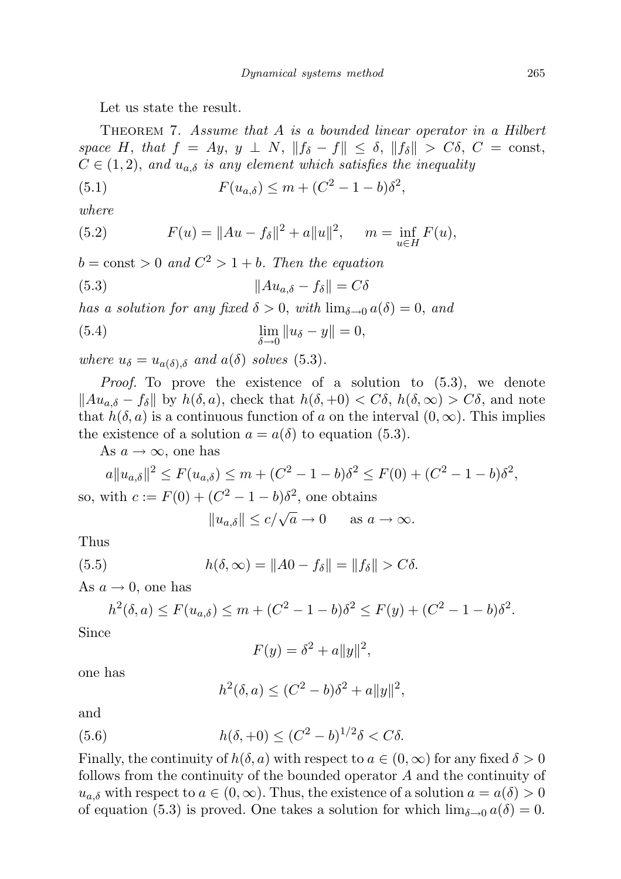Let us state the result.

THEOREM 7. Assume that A is a bounded linear operator in a Hilbert space H, that  $f = Ay$ ,  $y \perp N$ ,  $||f_{\delta} - f|| \leq \delta$ ,  $||f_{\delta}|| > C\delta$ ,  $C = \text{const}$ ,  $C \in (1, 2)$ , and  $u_{a,\delta}$  is any element which satisfies the inequality

(5.1) 
$$
F(u_{a,\delta}) \le m + (C^2 - 1 - b)\delta^2,
$$

where

(5.2) 
$$
F(u) = ||Au - f_{\delta}||^{2} + a||u||^{2}, \quad m = \inf_{u \in H} F(u),
$$

 $b = \text{const} > 0$  and  $C^2 > 1 + b$ . Then the equation

(5.3) 
$$
||Au_{a,\delta} - f_{\delta}|| = C\delta
$$

has a solution for any fixed  $\delta > 0$ , with  $\lim_{\delta \to 0} a(\delta) = 0$ , and

(5.4) 
$$
\lim_{\delta \to 0} ||u_{\delta} - y|| = 0,
$$

where  $u_{\delta} = u_{a(\delta),\delta}$  and  $a(\delta)$  solves (5.3).

Proof. To prove the existence of a solution to (5.3), we denote  $\|Au_{a,\delta} - f_{\delta}\|$  by  $h(\delta, a)$ , check that  $h(\delta, +0) < C\delta$ ,  $h(\delta, \infty) > C\delta$ , and note that  $h(\delta, a)$  is a continuous function of a on the interval  $(0, \infty)$ . This implies the existence of a solution  $a = a(\delta)$  to equation (5.3).

As  $a \to \infty$ , one has

$$
a||u_{a,\delta}||^2 \le F(u_{a,\delta}) \le m + (C^2 - 1 - b)\delta^2 \le F(0) + (C^2 - 1 - b)\delta^2,
$$
  
so, with  $c := F(0) + (C^2 - 1 - b)\delta^2$ , one obtains

$$
||u_{a,\delta}|| \le c/\sqrt{a} \to 0 \quad \text{as } a \to \infty.
$$

Thus

(5.5) 
$$
h(\delta, \infty) = \|A0 - f_{\delta}\| = \|f_{\delta}\| > C\delta.
$$

As  $a \to 0$ , one has

$$
h^{2}(\delta, a) \le F(u_{a,\delta}) \le m + (C^{2} - 1 - b)\delta^{2} \le F(y) + (C^{2} - 1 - b)\delta^{2}.
$$

Since

$$
F(y) = \delta^2 + a||y||^2,
$$

one has

$$
h^{2}(\delta, a) \le (C^{2} - b)\delta^{2} + a||y||^{2},
$$

and

(5.6) 
$$
h(\delta, +0) \le (C^2 - b)^{1/2} \delta < C\delta.
$$

Finally, the continuity of  $h(\delta, a)$  with respect to  $a \in (0, \infty)$  for any fixed  $\delta > 0$ follows from the continuity of the bounded operator A and the continuity of  $u_{a,\delta}$  with respect to  $a \in (0,\infty)$ . Thus, the existence of a solution  $a = a(\delta) > 0$ of equation (5.3) is proved. One takes a solution for which  $\lim_{\delta \to 0} a(\delta) = 0$ .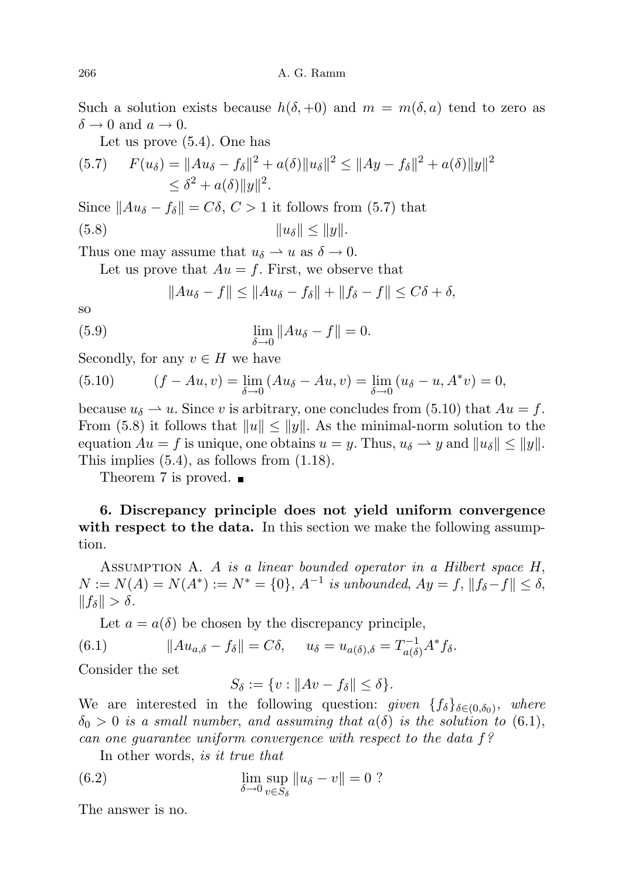Such a solution exists because  $h(\delta, +0)$  and  $m = m(\delta, a)$  tend to zero as  $\delta \to 0$  and  $a \to 0$ .

Let us prove (5.4). One has

$$
(5.7) \quad F(u_\delta) = \|Au_\delta - f_\delta\|^2 + a(\delta)\|u_\delta\|^2 \le \|Ay - f_\delta\|^2 + a(\delta)\|y\|^2
$$
  

$$
\le \delta^2 + a(\delta)\|y\|^2.
$$

Since  $||Au_{\delta} - f_{\delta}|| = C\delta, C > 1$  it follows from (5.7) that

(5.8) kuδk ≤ kyk.

Thus one may assume that  $u_{\delta} \to u$  as  $\delta \to 0$ .

Let us prove that  $Au = f$ . First, we observe that

$$
||Au_{\delta}-f|| \leq ||Au_{\delta}-f_{\delta}|| + ||f_{\delta}-f|| \leq C\delta + \delta,
$$

so

(5.9) 
$$
\lim_{\delta \to 0} \|Au_{\delta} - f\| = 0.
$$

Secondly, for any  $v \in H$  we have

(5.10) 
$$
(f - Au, v) = \lim_{\delta \to 0} (Au_{\delta} - Au, v) = \lim_{\delta \to 0} (u_{\delta} - u, A^*v) = 0,
$$

because  $u_{\delta} \to u$ . Since v is arbitrary, one concludes from (5.10) that  $Au = f$ . From (5.8) it follows that  $||u|| \le ||y||$ . As the minimal-norm solution to the equation  $Au = f$  is unique, one obtains  $u = y$ . Thus,  $u_{\delta} \rightarrow y$  and  $||u_{\delta}|| \le ||y||$ . This implies (5.4), as follows from (1.18).

Theorem 7 is proved.  $\blacksquare$ 

6. Discrepancy principle does not yield uniform convergence with respect to the data. In this section we make the following assumption.

ASSUMPTION A. A is a linear bounded operator in a Hilbert space H,  $N := N(A) = N(A^*) := N^* = \{0\}, A^{-1}$  is unbounded,  $Ay = f$ ,  $||f_{\delta} - f|| \leq \delta$ ,  $||f_\delta|| > \delta.$ 

Let  $a = a(\delta)$  be chosen by the discrepancy principle,

(6.1) 
$$
||Au_{a,\delta} - f_{\delta}|| = C\delta, \quad u_{\delta} = u_{a(\delta),\delta} = T_{a(\delta)}^{-1}A^*f_{\delta}.
$$

Consider the set

$$
S_{\delta} := \{ v : \|Av - f_{\delta}\| \le \delta \}.
$$

We are interested in the following question: given  $\{f_\delta\}_{\delta \in (0,\delta_0)}$ , where  $\delta_0 > 0$  is a small number, and assuming that  $a(\delta)$  is the solution to (6.1), can one guarantee uniform convergence with respect to the data f?

In other words, is it true that

(6.2) 
$$
\lim_{\delta \to 0} \sup_{v \in S_{\delta}} ||u_{\delta} - v|| = 0 ?
$$

The answer is no.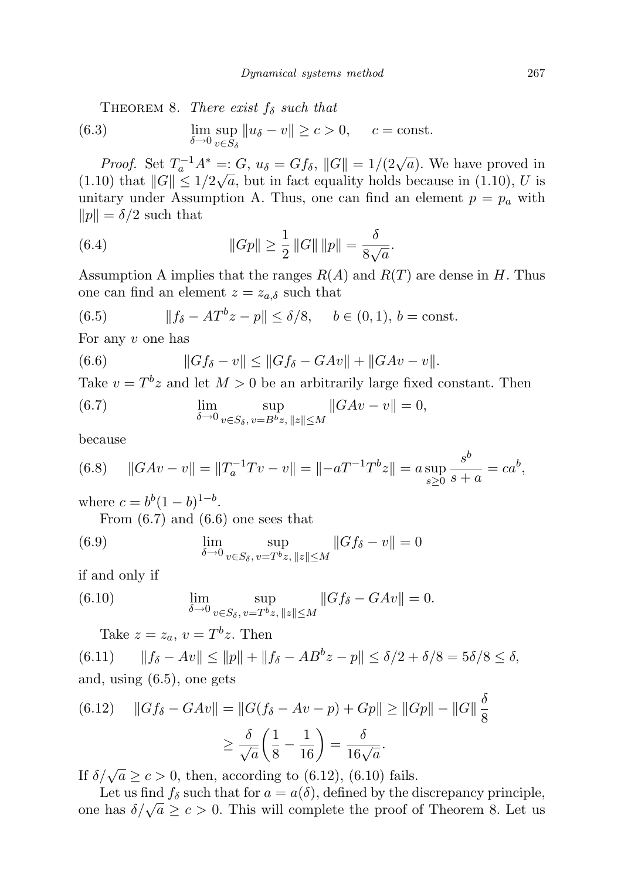THEOREM 8. There exist  $f_{\delta}$  such that

(6.3) 
$$
\lim_{\delta \to 0} \sup_{v \in S_{\delta}} ||u_{\delta} - v|| \geq c > 0, \quad c = \text{const.}
$$

*Proof.* Set  $T_a^{-1}A^* =: G, u_{\delta} = Gf_{\delta}, ||G|| = 1/(2\sqrt{a})$ . We have proved in  $(1.10)$  that  $||G|| \leq 1/2\sqrt{a}$ , but in fact equality holds because in  $(1.10)$ , U is unitary under Assumption A. Thus, one can find an element  $p = p_a$  with  $||p|| = \delta/2$  such that

(6.4) 
$$
||Gp|| \ge \frac{1}{2} ||G|| ||p|| = \frac{\delta}{8\sqrt{a}}.
$$

Assumption A implies that the ranges  $R(A)$  and  $R(T)$  are dense in H. Thus one can find an element  $z = z_{a,\delta}$  such that

(6.5) 
$$
||f_{\delta} - AT^{b}z - p|| \leq \delta/8, \quad b \in (0, 1), b = \text{const.}
$$

For any  $v$  one has

(6.6) 
$$
||Gf_{\delta} - v|| \le ||Gf_{\delta} - GAv|| + ||GAv - v||.
$$

Take  $v = T^b z$  and let  $M > 0$  be an arbitrarily large fixed constant. Then

(6.7) 
$$
\lim_{\delta \to 0} \sup_{v \in S_{\delta}, v = B^{b}z, ||z|| \le M} ||GAv - v|| = 0,
$$

because

(6.8) 
$$
||GAv - v|| = ||T_a^{-1}Tv - v|| = ||-aT^{-1}T^b z|| = a \sup_{s \ge 0} \frac{s^b}{s+a} = ca^b,
$$

where  $c = b^b (1 - b)^{1 - b}$ . From  $(6.7)$  and  $(6.6)$  one sees that

(6.9) 
$$
\lim_{\delta \to 0} \sup_{v \in S_{\delta}, v = T^{b}z, ||z|| \le M} ||Gf_{\delta} - v|| = 0
$$

if and only if

(6.10) 
$$
\lim_{\delta \to 0} \sup_{v \in S_{\delta}, v = T^{b}z, ||z|| \le M} ||Gf_{\delta} - GAv|| = 0.
$$

Take  $z = z_a$ ,  $v = T^b z$ . Then

(6.11)  $||f_{\delta} - Av|| \le ||p|| + ||f_{\delta} - AB^{b}z - p|| \le \delta/2 + \delta/8 = 5\delta/8 \le \delta,$ and, using (6.5), one gets

(6.12) 
$$
||Gf_{\delta} - GAv|| = ||G(f_{\delta} - Av - p) + Gp|| \ge ||Gp|| - ||G|| \frac{\delta}{8}
$$

$$
\ge \frac{\delta}{\sqrt{a}} \left(\frac{1}{8} - \frac{1}{16}\right) = \frac{\delta}{16\sqrt{a}}.
$$

If  $\delta/\sqrt{a} \ge c > 0$ , then, according to (6.12), (6.10) fails.

Let us find  $f_\delta$  such that for  $a = a(\delta)$ , defined by the discrepancy principle, Let us find  $f_{\delta}$  such that for  $a \equiv a(\delta)$ , defined by the discrepancy principle,<br>one has  $\delta/\sqrt{a} \ge c > 0$ . This will complete the proof of Theorem 8. Let us

 $\mathbf{L}$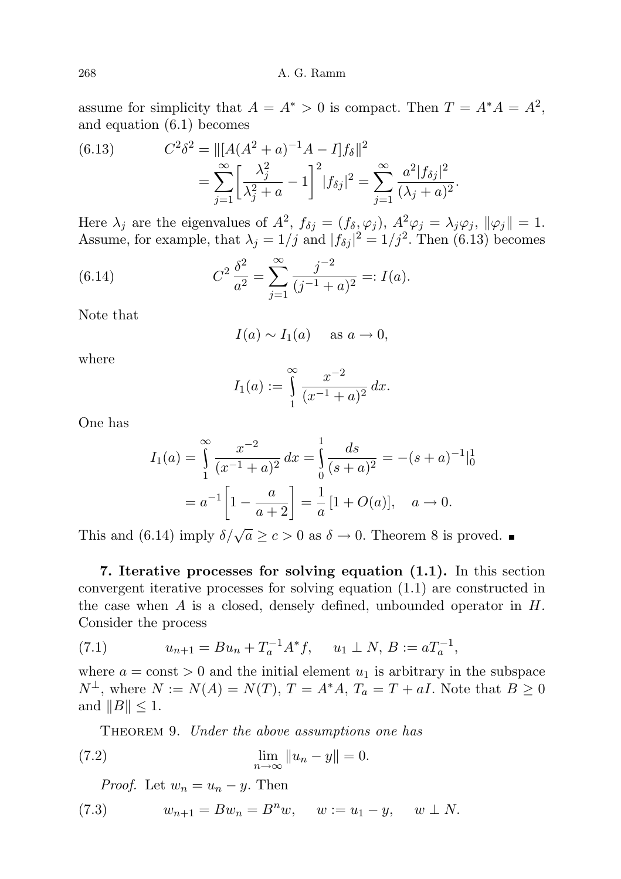#### 268 A. G. Ramm

assume for simplicity that  $A = A^* > 0$  is compact. Then  $T = A^*A = A^2$ , and equation (6.1) becomes

(6.13) 
$$
C^2 \delta^2 = ||[A(A^2 + a)^{-1}A - I]f_\delta||^2
$$

$$
= \sum_{j=1}^\infty \left[\frac{\lambda_j^2}{\lambda_j^2 + a} - 1\right]^2 |f_{\delta j}|^2 = \sum_{j=1}^\infty \frac{a^2 |f_{\delta j}|^2}{(\lambda_j + a)^2}.
$$

Here  $\lambda_j$  are the eigenvalues of  $A^2$ ,  $f_{\delta j} = (f_{\delta}, \varphi_j)$ ,  $A^2 \varphi_j = \lambda_j \varphi_j$ ,  $\|\varphi_j\| = 1$ . Assume, for example, that  $\lambda_j = 1/j$  and  $|f_{\delta j}|^2 = 1/j^2$ . Then (6.13) becomes

(6.14) 
$$
C^2 \frac{\delta^2}{a^2} = \sum_{j=1}^{\infty} \frac{j^{-2}}{(j^{-1} + a)^2} =: I(a).
$$

Note that

$$
I(a) \sim I_1(a) \quad \text{as } a \to 0,
$$

where

$$
I_1(a) := \int_{1}^{\infty} \frac{x^{-2}}{(x^{-1} + a)^2} dx.
$$

One has

$$
I_1(a) = \int_{1}^{\infty} \frac{x^{-2}}{(x^{-1} + a)^2} dx = \int_{0}^{1} \frac{ds}{(s+a)^2} = -(s+a)^{-1}|_{0}^{1}
$$

$$
= a^{-1} \left[ 1 - \frac{a}{a+2} \right] = \frac{1}{a} [1 + O(a)], \quad a \to 0.
$$

This and (6.14) imply  $\delta/\sqrt{a} \ge c > 0$  as  $\delta \to 0$ . Theorem 8 is proved.

7. Iterative processes for solving equation (1.1). In this section convergent iterative processes for solving equation (1.1) are constructed in the case when  $A$  is a closed, densely defined, unbounded operator in  $H$ . Consider the process

(7.1) 
$$
u_{n+1} = Bu_n + T_a^{-1}A^*f, \quad u_1 \perp N, B := aT_a^{-1},
$$

where  $a = \text{const} > 0$  and the initial element  $u_1$  is arbitrary in the subspace  $N^{\perp}$ , where  $N := N(A) = N(T)$ ,  $T = A^*A$ ,  $T_a = T + aI$ . Note that  $B \geq 0$ and  $||B|| \leq 1$ .

THEOREM 9. Under the above assumptions one has

(7.2) 
$$
\lim_{n \to \infty} \|u_n - y\| = 0.
$$

*Proof.* Let  $w_n = u_n - y$ . Then

(7.3) 
$$
w_{n+1} = Bw_n = B^n w, \quad w := u_1 - y, \quad w \perp N.
$$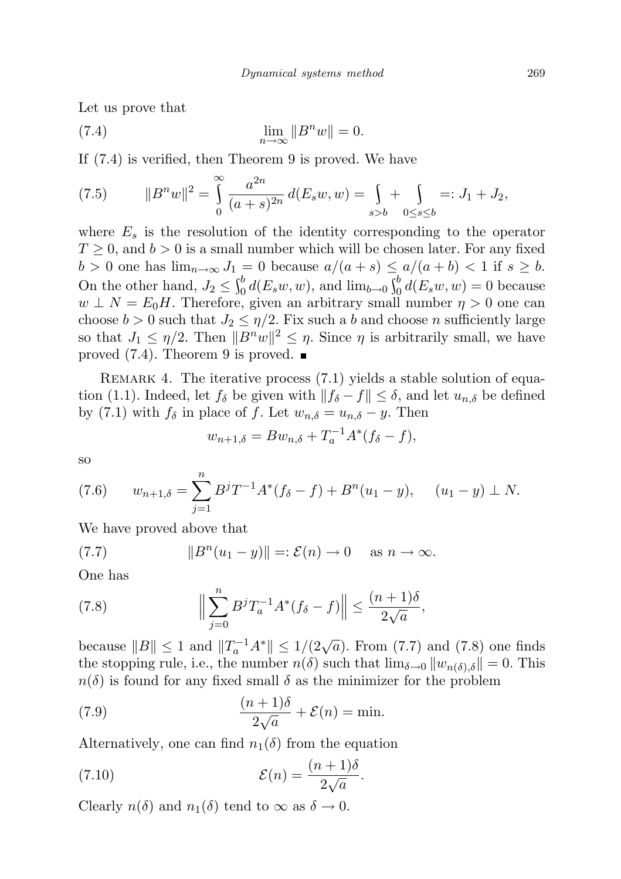Let us prove that

(7.4) 
$$
\lim_{n \to \infty} ||B^n w|| = 0.
$$

If (7.4) is verified, then Theorem 9 is proved. We have

(7.5) 
$$
||B^n w||^2 = \int_0^\infty \frac{a^{2n}}{(a+s)^{2n}} d(E_s w, w) = \int_{s>b} + \int_{0 \le s \le b} =: J_1 + J_2,
$$

where  $E_s$  is the resolution of the identity corresponding to the operator  $T \geq 0$ , and  $b > 0$  is a small number which will be chosen later. For any fixed  $b > 0$  one has  $\lim_{n \to \infty} J_1 = 0$  because  $a/(a + s) \le a/(a + b) < 1$  if  $s \ge b$ . On the other hand,  $J_2 \leq \int_0^b d(E_s w, w)$ , and  $\lim_{b \to 0} \int_0^b d(E_s w, w) = 0$  because  $w \perp N = E_0H$ . Therefore, given an arbitrary small number  $\eta > 0$  one can choose  $b > 0$  such that  $J_2 \leq \eta/2$ . Fix such a b and choose n sufficiently large so that  $J_1 \leq \eta/2$ . Then  $||B^n w||^2 \leq \eta$ . Since  $\eta$  is arbitrarily small, we have proved  $(7.4)$ . Theorem 9 is proved.

REMARK 4. The iterative process  $(7.1)$  yields a stable solution of equation (1.1). Indeed, let  $f_\delta$  be given with  $||f_\delta - f|| \leq \delta$ , and let  $u_{n,\delta}$  be defined by (7.1) with  $f_\delta$  in place of f. Let  $w_{n,\delta} = u_{n,\delta} - y$ . Then

$$
w_{n+1,\delta} = Bw_{n,\delta} + T_a^{-1}A^*(f_{\delta} - f),
$$

so

(7.6) 
$$
w_{n+1,\delta} = \sum_{j=1}^{n} B^{j} T^{-1} A^{*} (f_{\delta} - f) + B^{n} (u_{1} - y), \quad (u_{1} - y) \perp N.
$$

We have proved above that

(7.7) 
$$
||B^n(u_1 - y)|| =: \mathcal{E}(n) \to 0 \quad \text{as } n \to \infty.
$$

One has

(7.8) 
$$
\Big\|\sum_{j=0}^n B^j T_a^{-1} A^*(f_\delta - f)\Big\| \le \frac{(n+1)\delta}{2\sqrt{a}},
$$

because  $||B|| \le 1$  and  $||T_a^{-1}A^*|| \le 1/(2\sqrt{a})$ . From (7.7) and (7.8) one finds the stopping rule, i.e., the number  $n(\delta)$  such that  $\lim_{\delta \to 0} ||w_{n(\delta),\delta}|| = 0$ . This  $n(\delta)$  is found for any fixed small  $\delta$  as the minimizer for the problem

(7.9) 
$$
\frac{(n+1)\delta}{2\sqrt{a}} + \mathcal{E}(n) = \min.
$$

Alternatively, one can find  $n_1(\delta)$  from the equation

(7.10) 
$$
\mathcal{E}(n) = \frac{(n+1)\delta}{2\sqrt{a}}.
$$

Clearly  $n(\delta)$  and  $n_1(\delta)$  tend to  $\infty$  as  $\delta \to 0$ .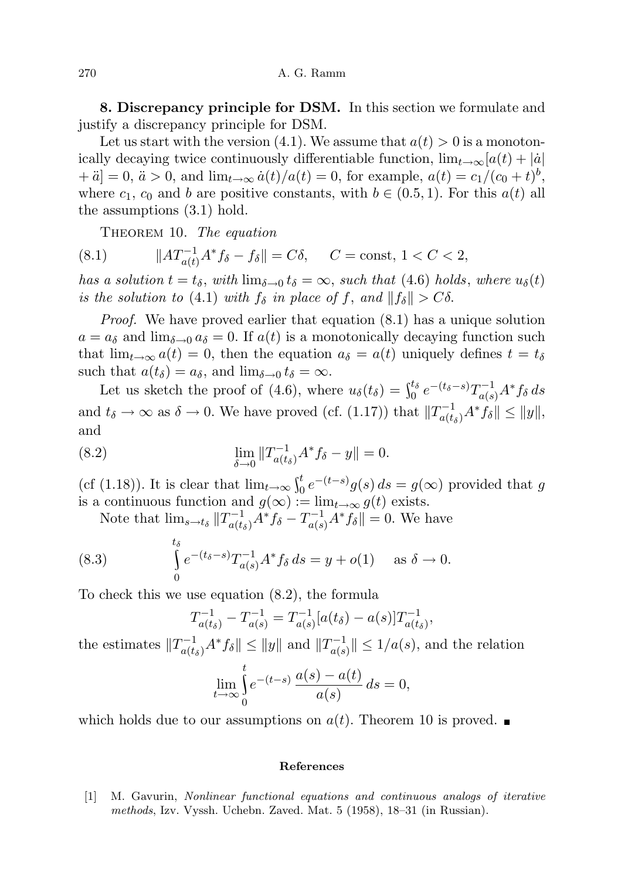270 A. G. Ramm

8. Discrepancy principle for DSM. In this section we formulate and justify a discrepancy principle for DSM.

Let us start with the version (4.1). We assume that  $a(t) > 0$  is a monotonically decaying twice continuously differentiable function,  $\lim_{t\to\infty} [a(t) + |\dot{a}|]$  $+ a = 0, a > 0, \text{ and } \lim_{t \to \infty} \dot{a}(t)/a(t) = 0, \text{ for example, } a(t) = c_1/(c_0 + t)^b,$ where  $c_1$ ,  $c_0$  and b are positive constants, with  $b \in (0.5, 1)$ . For this  $a(t)$  all the assumptions (3.1) hold.

THEOREM 10. The equation

(8.1) 
$$
||AT_{a(t)}^{-1}A^*f_{\delta} - f_{\delta}|| = C\delta, \quad C = \text{const}, 1 < C < 2,
$$

has a solution  $t = t_{\delta}$ , with  $\lim_{\delta \to 0} t_{\delta} = \infty$ , such that (4.6) holds, where  $u_{\delta}(t)$ is the solution to (4.1) with  $f_{\delta}$  in place of f, and  $||f_{\delta}|| > C\delta$ .

Proof. We have proved earlier that equation (8.1) has a unique solution  $a = a_{\delta}$  and  $\lim_{\delta \to 0} a_{\delta} = 0$ . If  $a(t)$  is a monotonically decaying function such that  $\lim_{t\to\infty} a(t) = 0$ , then the equation  $a_\delta = a(t)$  uniquely defines  $t = t_\delta$ such that  $a(t_\delta) = a_\delta$ , and  $\lim_{\delta \to 0} t_\delta = \infty$ .

Let us sketch the proof of (4.6), where  $u_{\delta}(t_{\delta}) = \int_0^{t_{\delta}} e^{-(t_{\delta}-s)} T_{a(s)}^{-1} A^* f_{\delta} ds$ and  $t_{\delta} \to \infty$  as  $\delta \to 0$ . We have proved (cf. (1.17)) that  $||T_{a(t_{\delta})}^{-1}A^*f_{\delta}|| \le ||y||$ , and

(8.2) 
$$
\lim_{\delta \to 0} \|T_{a(t_{\delta})}^{-1} A^* f_{\delta} - y\| = 0.
$$

(cf (1.18)). It is clear that  $\lim_{t\to\infty} \int_0^t e^{-(t-s)}g(s)\,ds = g(\infty)$  provided that g is a continuous function and  $g(\infty) := \lim_{t \to \infty} g(t)$  exists.

Note that  $\lim_{s \to t_{\delta}} ||T_{a(t_{\delta})}^{-1} A^* f_{\delta} - T_{a(s)}^{-1} A^* f_{\delta}|| = 0$ . We have

(8.3) 
$$
\int_{0}^{t_{\delta}} e^{-(t_{\delta}-s)} T_{a(s)}^{-1} A^* f_{\delta} ds = y + o(1) \text{ as } \delta \to 0.
$$

To check this we use equation (8.2), the formula

$$
T_{a(t_\delta)}^{-1} - T_{a(s)}^{-1} = T_{a(s)}^{-1}[a(t_\delta) - a(s)]T_{a(t_\delta)}^{-1},
$$

the estimates  $||T_{a(t_\delta)}^{-1}A^*f_\delta|| \le ||y||$  and  $||T_{a(s)}^{-1}$  $\vert \frac{a}{a(s)} \vert \vert \leq 1/a(s)$ , and the relation

$$
\lim_{t \to \infty} \int_{0}^{t} e^{-(t-s)} \, \frac{a(s) - a(t)}{a(s)} \, ds = 0,
$$

which holds due to our assumptions on  $a(t)$ . Theorem 10 is proved.

#### References

[1] M. Gavurin, Nonlinear functional equations and continuous analogs of iterative methods, Izv. Vyssh. Uchebn. Zaved. Mat. 5 (1958), 18–31 (in Russian).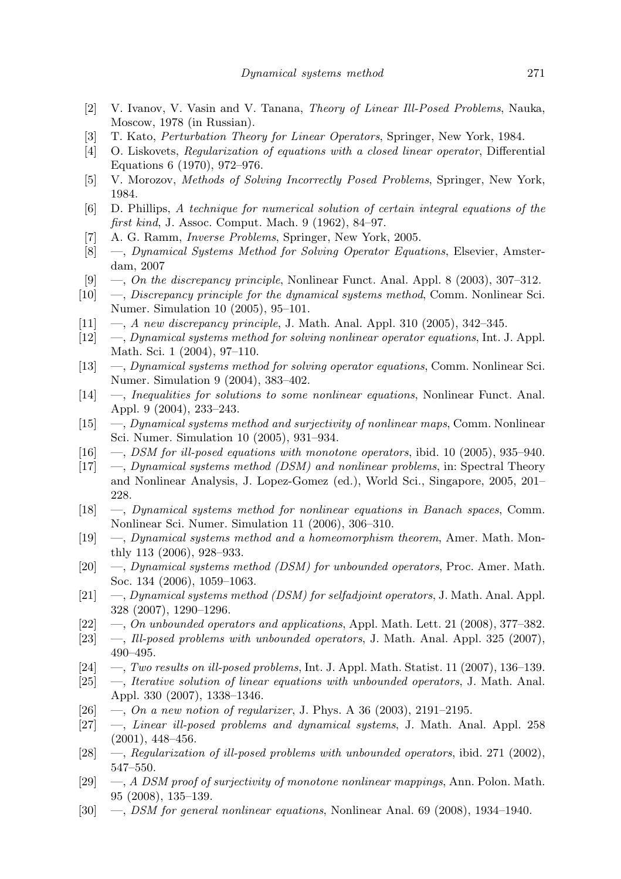- [2] V. Ivanov, V. Vasin and V. Tanana, Theory of Linear Ill-Posed Problems, Nauka, Moscow, 1978 (in Russian).
- [3] T. Kato, Perturbation Theory for Linear Operators, Springer, New York, 1984.
- [4] O. Liskovets, Regularization of equations with a closed linear operator, Differential Equations 6 (1970), 972–976.
- [5] V. Morozov, Methods of Solving Incorrectly Posed Problems, Springer, New York, 1984.
- [6] D. Phillips, A technique for numerical solution of certain integral equations of the first kind, J. Assoc. Comput. Mach. 9 (1962), 84–97.
- [7] A. G. Ramm, Inverse Problems, Springer, New York, 2005.
- [8] —, Dynamical Systems Method for Solving Operator Equations, Elsevier, Amsterdam, 2007
- [9] —, On the discrepancy principle, Nonlinear Funct. Anal. Appl. 8 (2003), 307-312.
- [10] —, Discrepancy principle for the dynamical systems method, Comm. Nonlinear Sci. Numer. Simulation 10 (2005), 95–101.
- $[11] \quad -$ , A new discrepancy principle, J. Math. Anal. Appl. 310 (2005), 342–345.
- [12] —, Dynamical systems method for solving nonlinear operator equations, Int. J. Appl. Math. Sci. 1 (2004), 97–110.
- [13] —, Dynamical systems method for solving operator equations, Comm. Nonlinear Sci. Numer. Simulation 9 (2004), 383–402.
- [14] —, Inequalities for solutions to some nonlinear equations, Nonlinear Funct. Anal. Appl. 9 (2004), 233–243.
- [15] —, Dynamical systems method and surjectivity of nonlinear maps, Comm. Nonlinear Sci. Numer. Simulation 10 (2005), 931–934.
- $[16] \quad -$ , DSM for ill-posed equations with monotone operators, ibid. 10 (2005), 935–940.
- [17] —, Dynamical systems method (DSM) and nonlinear problems, in: Spectral Theory and Nonlinear Analysis, J. Lopez-Gomez (ed.), World Sci., Singapore, 2005, 201– 228.
- [18] —, Dynamical systems method for nonlinear equations in Banach spaces, Comm. Nonlinear Sci. Numer. Simulation 11 (2006), 306–310.
- [19] —, Dynamical systems method and a homeomorphism theorem, Amer. Math. Monthly 113 (2006), 928–933.
- [20]  $\quad -$ , Dynamical systems method (DSM) for unbounded operators, Proc. Amer. Math. Soc. 134 (2006), 1059–1063.
- $[21] \quad$ —, Dynamical systems method (DSM) for selfadjoint operators, J. Math. Anal. Appl. 328 (2007), 1290–1296.
- [22] —, On unbounded operators and applications, Appl. Math. Lett. 21 (2008), 377–382.
- [23] —, Ill-posed problems with unbounded operators, J. Math. Anal. Appl. 325 (2007), 490–495.
- $[24] \quad -$ , Two results on ill-posed problems, Int. J. Appl. Math. Statist. 11 (2007), 136–139.
- [25] —, Iterative solution of linear equations with unbounded operators, J. Math. Anal. Appl. 330 (2007), 1338–1346.
- [26]  $\sim$ , On a new notion of regularizer, J. Phys. A 36 (2003), 2191–2195.
- [27] —, Linear ill-posed problems and dynamical systems, J. Math. Anal. Appl. 258 (2001), 448–456.
- [28] —, Regularization of ill-posed problems with unbounded operators, ibid. 271 (2002), 547–550.
- [29] —, A DSM proof of surjectivity of monotone nonlinear mappings, Ann. Polon. Math. 95 (2008), 135–139.
- [30] —, DSM for general nonlinear equations, Nonlinear Anal. 69 (2008), 1934–1940.